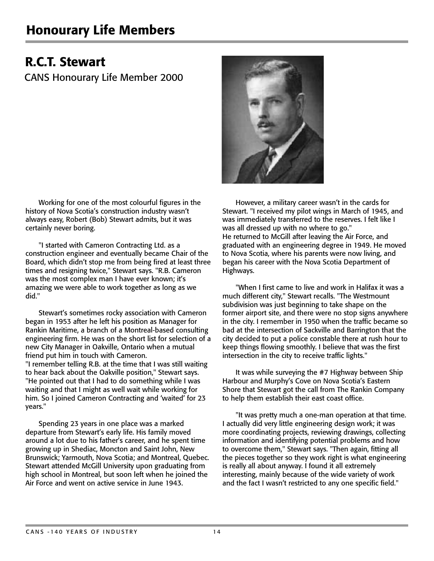## Honourary Life Members

## R.C.T. Stewart

CANS Honourary Life Member 2000

Working for one of the most colourful figures in the history of Nova Scotia's construction industry wasn't always easy, Robert (Bob) Stewart admits, but it was certainly never boring.

"I started with Cameron Contracting Ltd. as a construction engineer and eventually became Chair of the Board, which didn't stop me from being fired at least three times and resigning twice," Stewart says. "R.B. Cameron was the most complex man I have ever known; it's amazing we were able to work together as long as we did."

Stewart's sometimes rocky association with Cameron began in 1953 after he left his position as Manager for Rankin Maritime, a branch of a Montreal-based consulting engineering firm. He was on the short list for selection of a new City Manager in Oakville, Ontario when a mutual friend put him in touch with Cameron. "I remember telling R.B. at the time that I was still waiting to hear back about the Oakville position," Stewart says. "He pointed out that I had to do something while I was waiting and that I might as well wait while working for him. So I joined Cameron Contracting and 'waited' for 23 years."

Spending 23 years in one place was a marked departure from Stewart's early life. His family moved around a lot due to his father's career, and he spent time growing up in Shediac, Moncton and Saint John, New Brunswick; Yarmouth, Nova Scotia; and Montreal, Quebec. Stewart attended McGill University upon graduating from high school in Montreal, but soon left when he joined the Air Force and went on active service in June 1943.



However, a military career wasn't in the cards for Stewart. "I received my pilot wings in March of 1945, and was immediately transferred to the reserves. I felt like I was all dressed up with no where to go." He returned to McGill after leaving the Air Force, and graduated with an engineering degree in 1949. He moved to Nova Scotia, where his parents were now living, and began his career with the Nova Scotia Department of Highways.

"When I first came to live and work in Halifax it was a much different city," Stewart recalls. "The Westmount subdivision was just beginning to take shape on the former airport site, and there were no stop signs anywhere in the city. I remember in 1950 when the traffic became so bad at the intersection of Sackville and Barrington that the city decided to put a police constable there at rush hour to keep things flowing smoothly. I believe that was the first intersection in the city to receive traffic lights."

It was while surveying the #7 Highway between Ship Harbour and Murphy's Cove on Nova Scotia's Eastern Shore that Stewart got the call from The Rankin Company to help them establish their east coast office.

"It was pretty much a one-man operation at that time. I actually did very little engineering design work; it was more coordinating projects, reviewing drawings, collecting information and identifying potential problems and how to overcome them," Stewart says. "Then again, fitting all the pieces together so they work right is what engineering is really all about anyway. I found it all extremely interesting, mainly because of the wide variety of work and the fact I wasn't restricted to any one specific field."